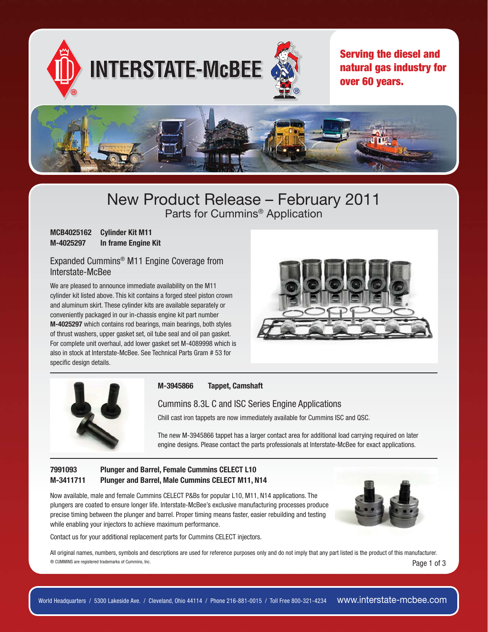

## New Product Release – February 2011 Parts for Cummins® Application

| <b>MCB4025162</b> | <b>Cylinder Kit M11</b> |
|-------------------|-------------------------|
| M-4025297         | In frame Engine Kit     |

## Expanded Cummins® M11 Engine Coverage from Interstate-McBee

We are pleased to announce immediate availability on the M11 cylinder kit listed above. This kit contains a forged steel piston crown and aluminum skirt. These cylinder kits are available separately or conveniently packaged in our in-chassis engine kit part number **M-4025297** which contains rod bearings, main bearings, both styles of thrust washers, upper gasket set, oil tube seal and oil pan gasket. For complete unit overhaul, add lower gasket set M-4089998 which is also in stock at Interstate-McBee. See Technical Parts Gram # 53 for specific design details.





#### **M-3945866 Tappet, Camshaft**

Cummins 8.3L C and ISC Series Engine Applications

Chill cast iron tappets are now immediately available for Cummins ISC and QSC.

The new M-3945866 tappet has a larger contact area for additional load carrying required on later engine designs. Please contact the parts professionals at Interstate-McBee for exact applications.

## **7991093 Plunger and Barrel, Female Cummins CELECT L10 M-3411711 Plunger and Barrel, Male Cummins CELECT M11, N14**

Now available, male and female Cummins CELECT P&Bs for popular L10, M11, N14 applications. The plungers are coated to ensure longer life. Interstate-McBee's exclusive manufacturing processes produce precise timing between the plunger and barrel. Proper timing means faster, easier rebuilding and testing while enabling your injectors to achieve maximum performance.

Contact us for your additional replacement parts for Cummins CELECT injectors.



 $\circ$  CUMMINS are registered trademarks of Cummins, Inc.  $\circ$ All original names, numbers, symbols and descriptions are used for reference purposes only and do not imply that any part listed is the product of this manufacturer.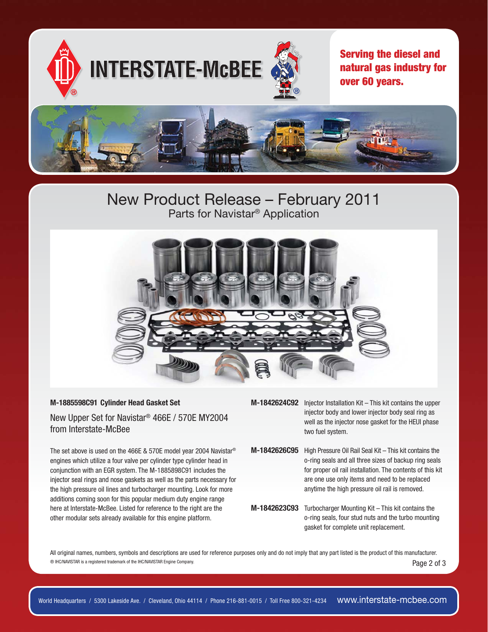

# New Product Release – February 2011 Parts for Navistar® Application



#### **M-1885598C91 Cylinder Head Gasket Set**

New Upper Set for Navistar® 466E / 570E MY2004 from Interstate-McBee

The set above is used on the 466E & 570E model year 2004 Navistar® engines which utilize a four valve per cylinder type cylinder head in conjunction with an EGR system. The M-1885898C91 includes the injector seal rings and nose gaskets as well as the parts necessary for the high pressure oil lines and turbocharger mounting. Look for more additions coming soon for this popular medium duty engine range here at Interstate-McBee. Listed for reference to the right are the other modular sets already available for this engine platform.

- **M-1842624C92** Injector Installation Kit This kit contains the upper injector body and lower injector body seal ring as well as the injector nose gasket for the HEUI phase two fuel system.
- **M-1842626C95** High Pressure Oil Rail Seal Kit This kit contains the o-ring seals and all three sizes of backup ring seals for proper oil rail installation. The contents of this kit are one use only items and need to be replaced anytime the high pressure oil rail is removed.
- **M-1842623C93** Turbocharger Mounting Kit This kit contains the o-ring seals, four stud nuts and the turbo mounting gasket for complete unit replacement.

 $\circ$  IHC/NAVISTAR is a registered trademark of the IHC/NAVISTAR Engine Company. All original names, numbers, symbols and descriptions are used for reference purposes only and do not imply that any part listed is the product of this manufacturer.